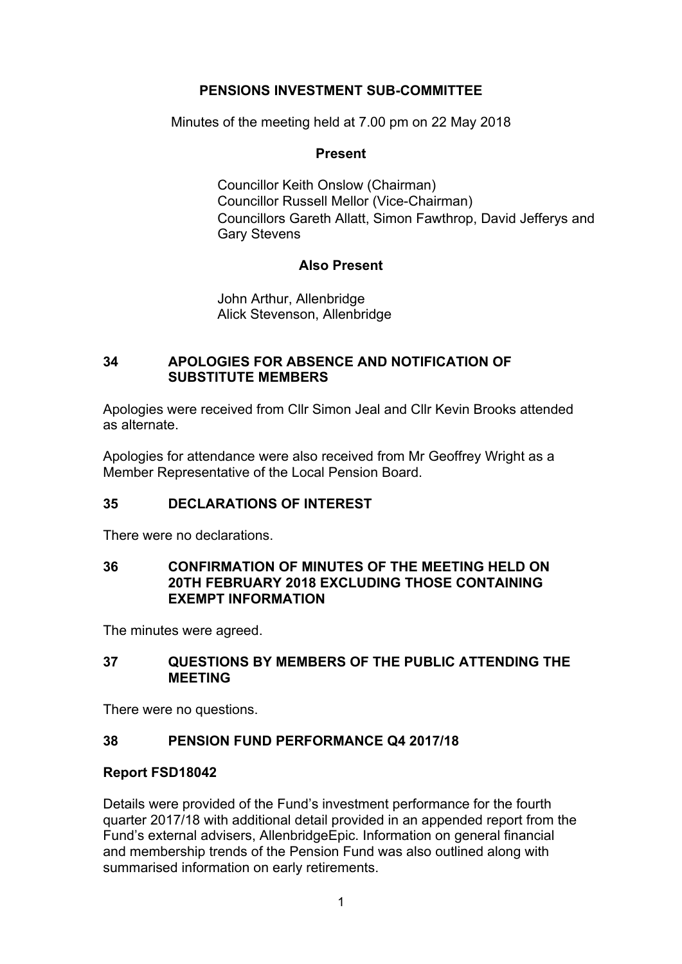# **PENSIONS INVESTMENT SUB-COMMITTEE**

Minutes of the meeting held at 7.00 pm on 22 May 2018

# **Present**

Councillor Keith Onslow (Chairman) Councillor Russell Mellor (Vice-Chairman) Councillors Gareth Allatt, Simon Fawthrop, David Jefferys and Gary Stevens

# **Also Present**

John Arthur, Allenbridge Alick Stevenson, Allenbridge

# **34 APOLOGIES FOR ABSENCE AND NOTIFICATION OF SUBSTITUTE MEMBERS**

Apologies were received from Cllr Simon Jeal and Cllr Kevin Brooks attended as alternate.

Apologies for attendance were also received from Mr Geoffrey Wright as a Member Representative of the Local Pension Board.

# **35 DECLARATIONS OF INTEREST**

There were no declarations.

# **36 CONFIRMATION OF MINUTES OF THE MEETING HELD ON 20TH FEBRUARY 2018 EXCLUDING THOSE CONTAINING EXEMPT INFORMATION**

The minutes were agreed.

# **37 QUESTIONS BY MEMBERS OF THE PUBLIC ATTENDING THE MEETING**

There were no questions.

# **38 PENSION FUND PERFORMANCE Q4 2017/18**

# **Report FSD18042**

Details were provided of the Fund's investment performance for the fourth quarter 2017/18 with additional detail provided in an appended report from the Fund's external advisers, AllenbridgeEpic. Information on general financial and membership trends of the Pension Fund was also outlined along with summarised information on early retirements.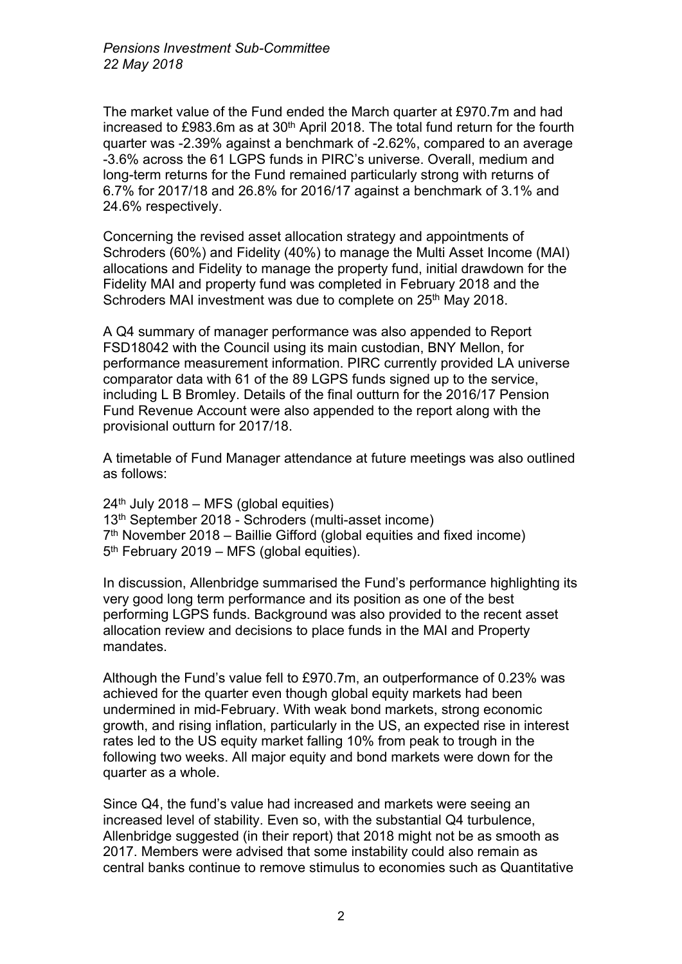The market value of the Fund ended the March quarter at £970.7m and had increased to £983.6m as at 30<sup>th</sup> April 2018. The total fund return for the fourth quarter was -2.39% against a benchmark of -2.62%, compared to an average -3.6% across the 61 LGPS funds in PIRC's universe. Overall, medium and long-term returns for the Fund remained particularly strong with returns of 6.7% for 2017/18 and 26.8% for 2016/17 against a benchmark of 3.1% and 24.6% respectively.

Concerning the revised asset allocation strategy and appointments of Schroders (60%) and Fidelity (40%) to manage the Multi Asset Income (MAI) allocations and Fidelity to manage the property fund, initial drawdown for the Fidelity MAI and property fund was completed in February 2018 and the Schroders MAI investment was due to complete on 25<sup>th</sup> May 2018.

A Q4 summary of manager performance was also appended to Report FSD18042 with the Council using its main custodian, BNY Mellon, for performance measurement information. PIRC currently provided LA universe comparator data with 61 of the 89 LGPS funds signed up to the service, including L B Bromley. Details of the final outturn for the 2016/17 Pension Fund Revenue Account were also appended to the report along with the provisional outturn for 2017/18.

A timetable of Fund Manager attendance at future meetings was also outlined as follows:

 $24<sup>th</sup>$  July 2018 – MFS (global equities) 13th September 2018 - Schroders (multi-asset income) 7 th November 2018 – Baillie Gifford (global equities and fixed income) 5<sup>th</sup> February 2019 – MFS (global equities).

In discussion, Allenbridge summarised the Fund's performance highlighting its very good long term performance and its position as one of the best performing LGPS funds. Background was also provided to the recent asset allocation review and decisions to place funds in the MAI and Property mandates.

Although the Fund's value fell to £970.7m, an outperformance of 0.23% was achieved for the quarter even though global equity markets had been undermined in mid-February. With weak bond markets, strong economic growth, and rising inflation, particularly in the US, an expected rise in interest rates led to the US equity market falling 10% from peak to trough in the following two weeks. All major equity and bond markets were down for the quarter as a whole.

Since Q4, the fund's value had increased and markets were seeing an increased level of stability. Even so, with the substantial Q4 turbulence, Allenbridge suggested (in their report) that 2018 might not be as smooth as 2017. Members were advised that some instability could also remain as central banks continue to remove stimulus to economies such as Quantitative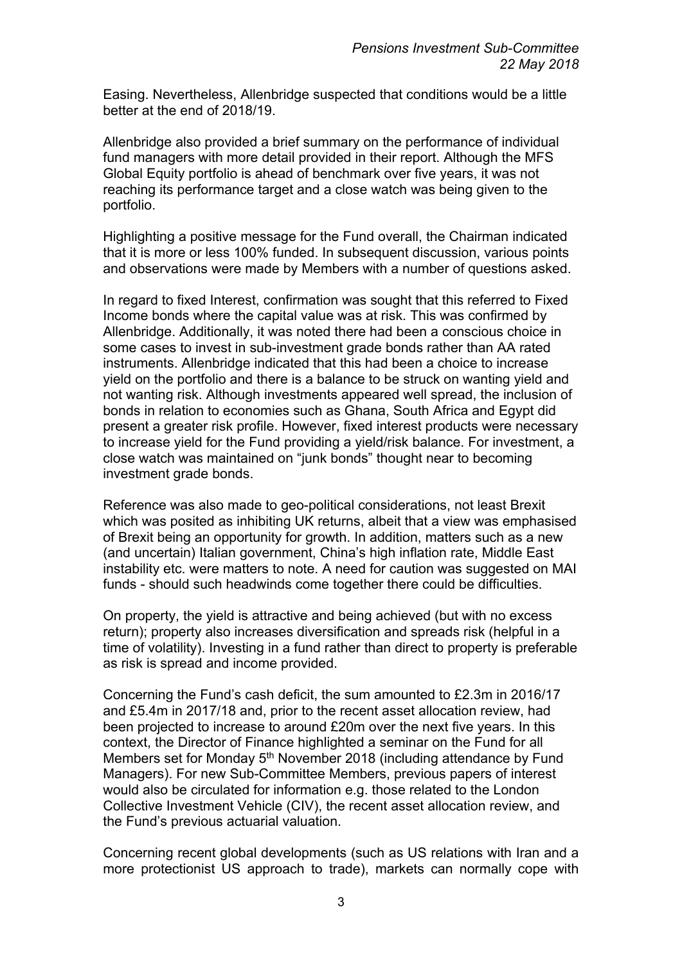Easing. Nevertheless, Allenbridge suspected that conditions would be a little better at the end of 2018/19.

Allenbridge also provided a brief summary on the performance of individual fund managers with more detail provided in their report. Although the MFS Global Equity portfolio is ahead of benchmark over five years, it was not reaching its performance target and a close watch was being given to the portfolio.

Highlighting a positive message for the Fund overall, the Chairman indicated that it is more or less 100% funded. In subsequent discussion, various points and observations were made by Members with a number of questions asked.

In regard to fixed Interest, confirmation was sought that this referred to Fixed Income bonds where the capital value was at risk. This was confirmed by Allenbridge. Additionally, it was noted there had been a conscious choice in some cases to invest in sub-investment grade bonds rather than AA rated instruments. Allenbridge indicated that this had been a choice to increase yield on the portfolio and there is a balance to be struck on wanting yield and not wanting risk. Although investments appeared well spread, the inclusion of bonds in relation to economies such as Ghana, South Africa and Egypt did present a greater risk profile. However, fixed interest products were necessary to increase yield for the Fund providing a yield/risk balance. For investment, a close watch was maintained on "junk bonds" thought near to becoming investment grade bonds.

Reference was also made to geo-political considerations, not least Brexit which was posited as inhibiting UK returns, albeit that a view was emphasised of Brexit being an opportunity for growth. In addition, matters such as a new (and uncertain) Italian government, China's high inflation rate, Middle East instability etc. were matters to note. A need for caution was suggested on MAI funds - should such headwinds come together there could be difficulties.

On property, the yield is attractive and being achieved (but with no excess return); property also increases diversification and spreads risk (helpful in a time of volatility). Investing in a fund rather than direct to property is preferable as risk is spread and income provided.

Concerning the Fund's cash deficit, the sum amounted to £2.3m in 2016/17 and £5.4m in 2017/18 and, prior to the recent asset allocation review, had been projected to increase to around £20m over the next five years. In this context, the Director of Finance highlighted a seminar on the Fund for all Members set for Monday 5<sup>th</sup> November 2018 (including attendance by Fund Managers). For new Sub-Committee Members, previous papers of interest would also be circulated for information e.g. those related to the London Collective Investment Vehicle (CIV), the recent asset allocation review, and the Fund's previous actuarial valuation.

Concerning recent global developments (such as US relations with Iran and a more protectionist US approach to trade), markets can normally cope with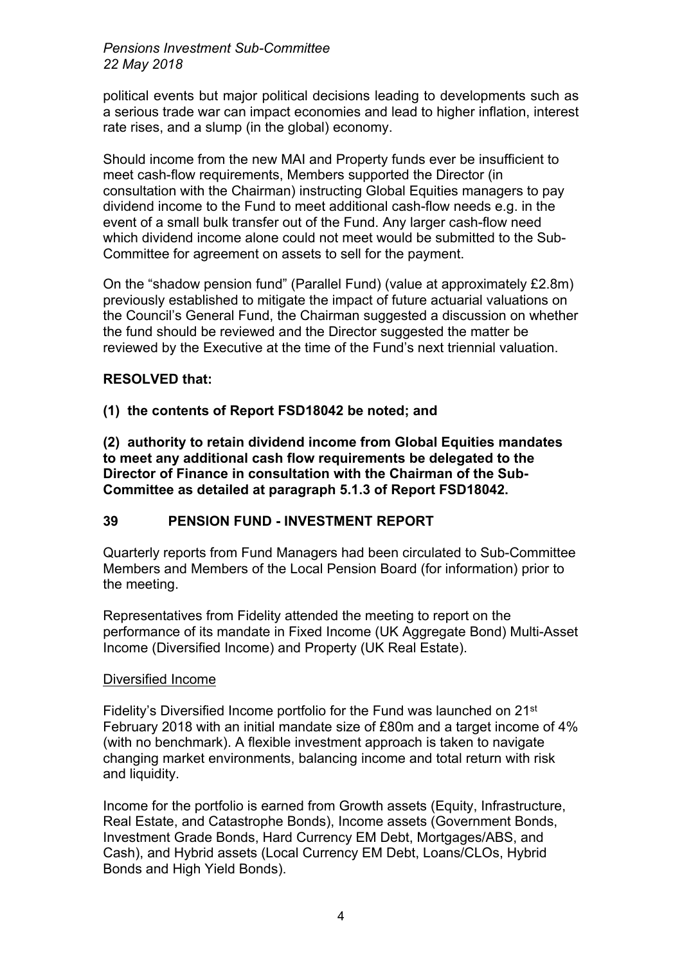# *Pensions Investment Sub-Committee 22 May 2018*

political events but major political decisions leading to developments such as a serious trade war can impact economies and lead to higher inflation, interest rate rises, and a slump (in the global) economy.

Should income from the new MAI and Property funds ever be insufficient to meet cash-flow requirements, Members supported the Director (in consultation with the Chairman) instructing Global Equities managers to pay dividend income to the Fund to meet additional cash-flow needs e.g. in the event of a small bulk transfer out of the Fund. Any larger cash-flow need which dividend income alone could not meet would be submitted to the Sub-Committee for agreement on assets to sell for the payment.

On the "shadow pension fund" (Parallel Fund) (value at approximately £2.8m) previously established to mitigate the impact of future actuarial valuations on the Council's General Fund, the Chairman suggested a discussion on whether the fund should be reviewed and the Director suggested the matter be reviewed by the Executive at the time of the Fund's next triennial valuation.

# **RESOLVED that:**

# **(1) the contents of Report FSD18042 be noted; and**

**(2) authority to retain dividend income from Global Equities mandates to meet any additional cash flow requirements be delegated to the Director of Finance in consultation with the Chairman of the Sub-Committee as detailed at paragraph 5.1.3 of Report FSD18042.**

# **39 PENSION FUND - INVESTMENT REPORT**

Quarterly reports from Fund Managers had been circulated to Sub-Committee Members and Members of the Local Pension Board (for information) prior to the meeting.

Representatives from Fidelity attended the meeting to report on the performance of its mandate in Fixed Income (UK Aggregate Bond) Multi-Asset Income (Diversified Income) and Property (UK Real Estate).

# Diversified Income

Fidelity's Diversified Income portfolio for the Fund was launched on 21st February 2018 with an initial mandate size of £80m and a target income of 4% (with no benchmark). A flexible investment approach is taken to navigate changing market environments, balancing income and total return with risk and liquidity.

Income for the portfolio is earned from Growth assets (Equity, Infrastructure, Real Estate, and Catastrophe Bonds), Income assets (Government Bonds, Investment Grade Bonds, Hard Currency EM Debt, Mortgages/ABS, and Cash), and Hybrid assets (Local Currency EM Debt, Loans/CLOs, Hybrid Bonds and High Yield Bonds).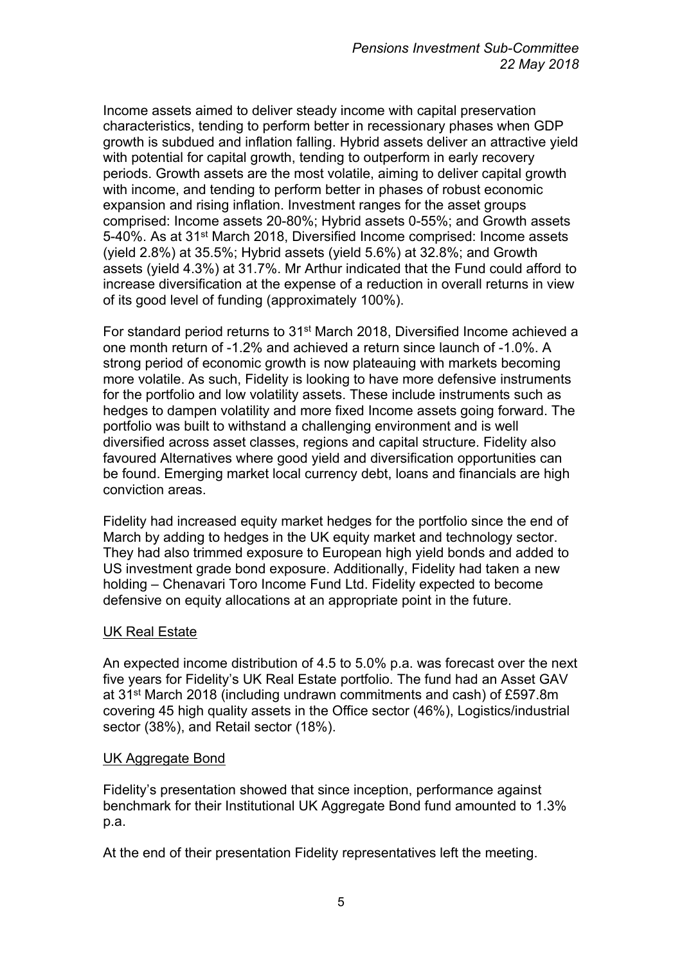Income assets aimed to deliver steady income with capital preservation characteristics, tending to perform better in recessionary phases when GDP growth is subdued and inflation falling. Hybrid assets deliver an attractive yield with potential for capital growth, tending to outperform in early recovery periods. Growth assets are the most volatile, aiming to deliver capital growth with income, and tending to perform better in phases of robust economic expansion and rising inflation. Investment ranges for the asset groups comprised: Income assets 20-80%; Hybrid assets 0-55%; and Growth assets 5-40%. As at 31st March 2018, Diversified Income comprised: Income assets (yield 2.8%) at 35.5%; Hybrid assets (yield 5.6%) at 32.8%; and Growth assets (yield 4.3%) at 31.7%. Mr Arthur indicated that the Fund could afford to increase diversification at the expense of a reduction in overall returns in view of its good level of funding (approximately 100%).

For standard period returns to 31st March 2018, Diversified Income achieved a one month return of -1.2% and achieved a return since launch of -1.0%. A strong period of economic growth is now plateauing with markets becoming more volatile. As such, Fidelity is looking to have more defensive instruments for the portfolio and low volatility assets. These include instruments such as hedges to dampen volatility and more fixed Income assets going forward. The portfolio was built to withstand a challenging environment and is well diversified across asset classes, regions and capital structure. Fidelity also favoured Alternatives where good yield and diversification opportunities can be found. Emerging market local currency debt, loans and financials are high conviction areas.

Fidelity had increased equity market hedges for the portfolio since the end of March by adding to hedges in the UK equity market and technology sector. They had also trimmed exposure to European high yield bonds and added to US investment grade bond exposure. Additionally, Fidelity had taken a new holding – Chenavari Toro Income Fund Ltd. Fidelity expected to become defensive on equity allocations at an appropriate point in the future.

# UK Real Estate

An expected income distribution of 4.5 to 5.0% p.a. was forecast over the next five years for Fidelity's UK Real Estate portfolio. The fund had an Asset GAV at 31st March 2018 (including undrawn commitments and cash) of £597.8m covering 45 high quality assets in the Office sector (46%), Logistics/industrial sector (38%), and Retail sector (18%).

# UK Aggregate Bond

Fidelity's presentation showed that since inception, performance against benchmark for their Institutional UK Aggregate Bond fund amounted to 1.3% p.a.

At the end of their presentation Fidelity representatives left the meeting.